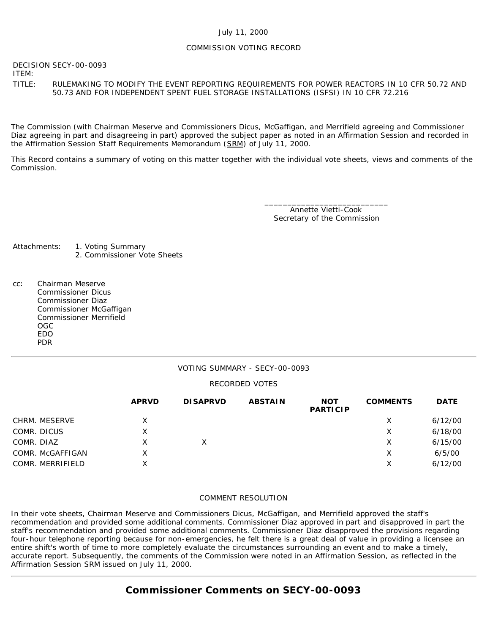### July 11, 2000

### COMMISSION VOTING RECORD

DECISION SECY-00-0093

ITEM:

### TITLE: RULEMAKING TO MODIFY THE EVENT REPORTING REQUIREMENTS FOR POWER REACTORS IN 10 CFR 50.72 AND 50.73 AND FOR INDEPENDENT SPENT FUEL STORAGE INSTALLATIONS (ISFSI) IN 10 CFR 72.216

The Commission (with Chairman Meserve and Commissioners Dicus, McGaffigan, and Merrifield agreeing and Commissioner Diaz agreeing in part and disagreeing in part) approved the subject paper as noted in an Affirmation Session and recorded in the Affirmation Session Staff Requirements Memorandum (SRM) of July 11, 2000.

This Record contains a summary of voting on this matter together with the individual vote sheets, views and comments of the Commission.

> \_\_\_\_\_\_\_\_\_\_\_\_\_\_\_\_\_\_\_\_\_\_\_\_\_\_\_ Annette Vietti-Cook Secretary of the Commission

Attachments: 1. Voting Summary

- 2. Commissioner Vote Sheets
- cc: Chairman Meserve Commissioner Dicus Commissioner Diaz Commissioner McGaffigan Commissioner Merrifield OGC EDO PDR

### VOTING SUMMARY - SECY-00-0093

### RECORDED VOTES

|                  | <b>APRVD</b> | <b>DISAPRVD</b> | <b>ABSTAIN</b> | <b>NOT</b><br><b>PARTICIP</b> | <b>COMMENTS</b> | <b>DATE</b> |
|------------------|--------------|-----------------|----------------|-------------------------------|-----------------|-------------|
| CHRM. MESERVE    | х            |                 |                |                               | Х               | 6/12/00     |
| COMR. DICUS      | х            |                 |                |                               | Х               | 6/18/00     |
| COMR. DIAZ       |              |                 |                |                               | Х               | 6/15/00     |
| COMR. McGAFFIGAN | Χ            |                 |                |                               | х               | 6/5/00      |
| COMR. MERRIFIELD | X            |                 |                |                               | Х               | 6/12/00     |

### COMMENT RESOLUTION

In their vote sheets, Chairman Meserve and Commissioners Dicus, McGaffigan, and Merrifield approved the staff's recommendation and provided some additional comments. Commissioner Diaz approved in part and disapproved in part the staff's recommendation and provided some additional comments. Commissioner Diaz disapproved the provisions regarding four-hour telephone reporting because for non-emergencies, he felt there is a great deal of value in providing a licensee an entire shift's worth of time to more completely evaluate the circumstances surrounding an event and to make a timely, accurate report. Subsequently, the comments of the Commission were noted in an Affirmation Session, as reflected in the Affirmation Session SRM issued on July 11, 2000.

# **Commissioner Comments on [SECY-00-0093](http://www.nrc.gov/reading-rm/doc-collections/commission/secys/2000/secy2000-0093/2000-0093scy.html)**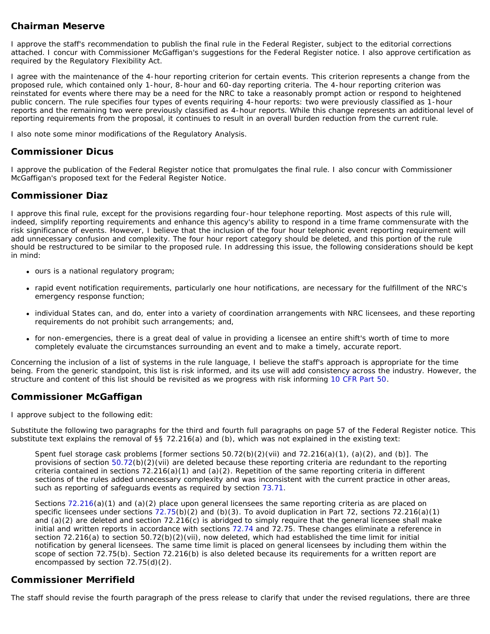## **Chairman Meserve**

I approve the staff's recommendation to publish the final rule in the *Federal Register,* subject to the editorial corrections attached. I concur with Commissioner McGaffigan's suggestions for the *Federal Register* notice. I also approve certification as required by the Regulatory Flexibility Act.

I agree with the maintenance of the 4-hour reporting criterion for certain events. This criterion represents a change from the proposed rule, which contained only 1-hour, 8-hour and 60-day reporting criteria. The 4-hour reporting criterion was reinstated for events where there may be a need for the NRC to take a reasonably prompt action or respond to heightened public concern. The rule specifies four types of events requiring 4-hour reports: two were previously classified as 1-hour reports and the remaining two were previously classified as 4-hour reports. While this change represents an additional level of reporting requirements from the proposal, it continues to result in an overall burden reduction from the current rule.

I also note some minor modifications of the Regulatory Analysis.

## **Commissioner Dicus**

I approve the publication of the *Federal Register* notice that promulgates the final rule. I also concur with Commissioner McGaffigan's proposed text for the *Federal Register Notice*.

## **Commissioner Diaz**

I approve this final rule, except for the provisions regarding four-hour telephone reporting. Most aspects of this rule will, indeed, simplify reporting requirements and enhance this agency's ability to respond in a time frame commensurate with the risk significance of events. However, I believe that the inclusion of the four hour telephonic event reporting requirement will add unnecessary confusion and complexity. The four hour report category should be deleted, and this portion of the rule should be restructured to be similar to the proposed rule. In addressing this issue, the following considerations should be kept in mind:

- ours is a national regulatory program;
- rapid event notification requirements, particularly one hour notifications, are necessary for the fulfillment of the NRC's emergency response function;
- individual States can, and do, enter into a variety of coordination arrangements with NRC licensees, and these reporting requirements do not prohibit such arrangements; and,
- for non-emergencies, there is a great deal of value in providing a licensee an entire shift's worth of time to more completely evaluate the circumstances surrounding an event and to make a timely, accurate report.

Concerning the inclusion of a list of systems in the rule language, I believe the staff's approach is appropriate for the time being. From the generic standpoint, this list is risk informed, and its use will add consistency across the industry. However, the structure and content of this list should be revisited as we progress with risk informing [10 CFR Part 50.](http://www.nrc.gov/reading-rm/doc-collections/cfr/part050/index.html)

## **Commissioner McGaffigan**

I approve subject to the following edit:

Substitute the following two paragraphs for the third and fourth full paragraphs on page 57 of the Federal Register notice. This substitute text explains the removal of §§ 72.216(a) and (b), which was not explained in the existing text:

*Spent fuel storage cask problems [former sections 50.72(b)(2)(vii) and 72.216(a)(1), (a)(2), and (b)].* The provisions of section [50.72](http://www.nrc.gov/reading-rm/doc-collections/cfr/part050/part050-0072.html)(b)(2)(vii) are deleted because these reporting criteria are redundant to the reporting criteria contained in sections  $72.216(a)(1)$  and  $(a)(2)$ . Repetition of the same reporting criteria in different sections of the rules added unnecessary complexity and was inconsistent with the current practice in other areas, such as reporting of safeguards events as required by section [73.71](http://www.nrc.gov/reading-rm/doc-collections/cfr/part073/part073-0071.html).

Sections [72.216](http://www.nrc.gov/reading-rm/doc-collections/cfr/part072/part072-0216.html)(a)(1) and (a)(2) place upon general licensees the same reporting criteria as are placed on specific licensees under sections [72.75](http://www.nrc.gov/reading-rm/doc-collections/cfr/part072/part072-0075.html)(b)(2) and (b)(3). To avoid duplication in Part 72, sections 72.216(a)(1) and (a)(2) are deleted and section 72.216(c) is abridged to simply require that the general licensee shall make initial and written reports in accordance with sections [72.74](http://www.nrc.gov/reading-rm/doc-collections/cfr/part072/part072-0074.html) and 72.75. These changes eliminate a reference in section 72.216(a) to section 50.72(b)(2)(vii), now deleted, which had established the time limit for initial notification by general licensees. The same time limit is placed on general licensees by including them within the scope of section 72.75(b). Section 72.216(b) is also deleted because its requirements for a written report are encompassed by section 72.75(d)(2).

### **Commissioner Merrifield**

The staff should revise the fourth paragraph of the press release to clarify that under the revised regulations, there are three